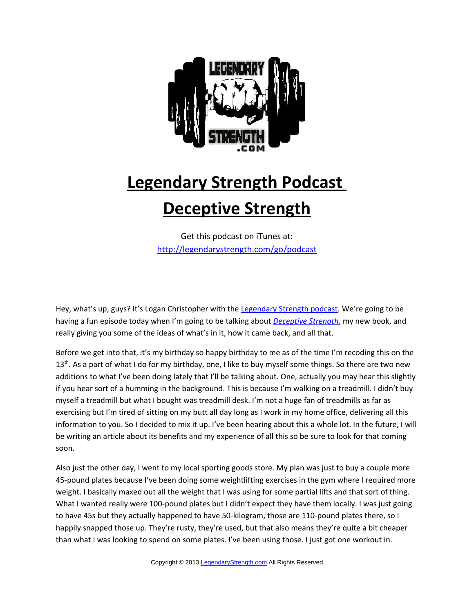

## **Legendary Strength Podcast Deceptive Strength**

Get this podcast on iTunes at: <http://legendarystrength.com/go/podcast>

Hey, what's up, guys? It's Logan Christopher with the [Legendary Strength podcast.](http://legendarystrength.com/category/podcasts/) We're going to be having a fun episode today when I'm going to be talking about *[Deceptive Strength](http://legendarystrength.com/deceptive-strength/)*, my new book, and really giving you some of the ideas of what's in it, how it came back, and all that.

Before we get into that, it's my birthday so happy birthday to me as of the time I'm recoding this on the 13<sup>th</sup>. As a part of what I do for my birthday, one, I like to buy myself some things. So there are two new additions to what I've been doing lately that I'll be talking about. One, actually you may hear this slightly if you hear sort of a humming in the background. This is because I'm walking on a treadmill. I didn't buy myself a treadmill but what I bought was treadmill desk. I'm not a huge fan of treadmills as far as exercising but I'm tired of sitting on my butt all day long as I work in my home office, delivering all this information to you. So I decided to mix it up. I've been hearing about this a whole lot. In the future, I will be writing an article about its benefits and my experience of all this so be sure to look for that coming soon.

Also just the other day, I went to my local sporting goods store. My plan was just to buy a couple more 45-pound plates because I've been doing some weightlifting exercises in the gym where I required more weight. I basically maxed out all the weight that I was using for some partial lifts and that sort of thing. What I wanted really were 100-pound plates but I didn't expect they have them locally. I was just going to have 45s but they actually happened to have 50-kilogram, those are 110-pound plates there, so I happily snapped those up. They're rusty, they're used, but that also means they're quite a bit cheaper than what I was looking to spend on some plates. I've been using those. I just got one workout in.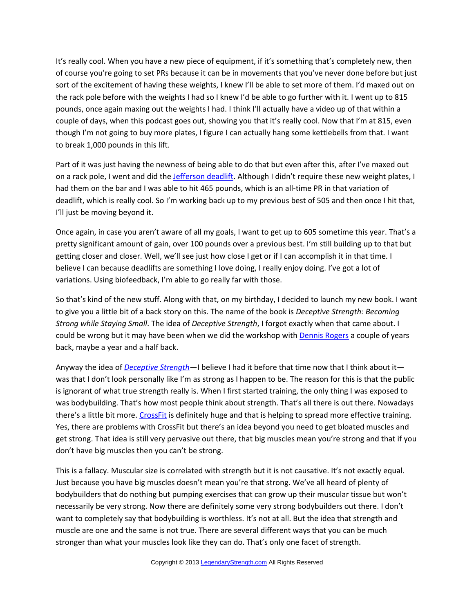It's really cool. When you have a new piece of equipment, if it's something that's completely new, then of course you're going to set PRs because it can be in movements that you've never done before but just sort of the excitement of having these weights, I knew I'll be able to set more of them. I'd maxed out on the rack pole before with the weights I had so I knew I'd be able to go further with it. I went up to 815 pounds, once again maxing out the weights I had. I think I'll actually have a video up of that within a couple of days, when this podcast goes out, showing you that it's really cool. Now that I'm at 815, even though I'm not going to buy more plates, I figure I can actually hang some kettlebells from that. I want to break 1,000 pounds in this lift.

Part of it was just having the newness of being able to do that but even after this, after I've maxed out on a rack pole, I went and did the [Jefferson deadlift.](http://legendarystrength.com/jefferson-lift/) Although I didn't require these new weight plates, I had them on the bar and I was able to hit 465 pounds, which is an all-time PR in that variation of deadlift, which is really cool. So I'm working back up to my previous best of 505 and then once I hit that, I'll just be moving beyond it.

Once again, in case you aren't aware of all my goals, I want to get up to 605 sometime this year. That's a pretty significant amount of gain, over 100 pounds over a previous best. I'm still building up to that but getting closer and closer. Well, we'll see just how close I get or if I can accomplish it in that time. I believe I can because deadlifts are something I love doing, I really enjoy doing. I've got a lot of variations. Using biofeedback, I'm able to go really far with those.

So that's kind of the new stuff. Along with that, on my birthday, I decided to launch my new book. I want to give you a little bit of a back story on this. The name of the book is *Deceptive Strength: Becoming Strong while Staying Small*. The idea of *Deceptive Strength*, I forgot exactly when that came about. I could be wrong but it may have been when we did the workshop with **Dennis Rogers** a couple of years back, maybe a year and a half back.

Anyway the idea of *[Deceptive Strength](http://legendarystrength.com/deceptive-strength/)*—I believe I had it before that time now that I think about it was that I don't look personally like I'm as strong as I happen to be. The reason for this is that the public is ignorant of what true strength really is. When I first started training, the only thing I was exposed to was bodybuilding. That's how most people think about strength. That's all there is out there. Nowadays there's a little bit more. [CrossFit](http://www.crossfit.com/) is definitely huge and that is helping to spread more effective training. Yes, there are problems with CrossFit but there's an idea beyond you need to get bloated muscles and get strong. That idea is still very pervasive out there, that big muscles mean you're strong and that if you don't have big muscles then you can't be strong.

This is a fallacy. Muscular size is correlated with strength but it is not causative. It's not exactly equal. Just because you have big muscles doesn't mean you're that strong. We've all heard of plenty of bodybuilders that do nothing but pumping exercises that can grow up their muscular tissue but won't necessarily be very strong. Now there are definitely some very strong bodybuilders out there. I don't want to completely say that bodybuilding is worthless. It's not at all. But the idea that strength and muscle are one and the same is not true. There are several different ways that you can be much stronger than what your muscles look like they can do. That's only one facet of strength.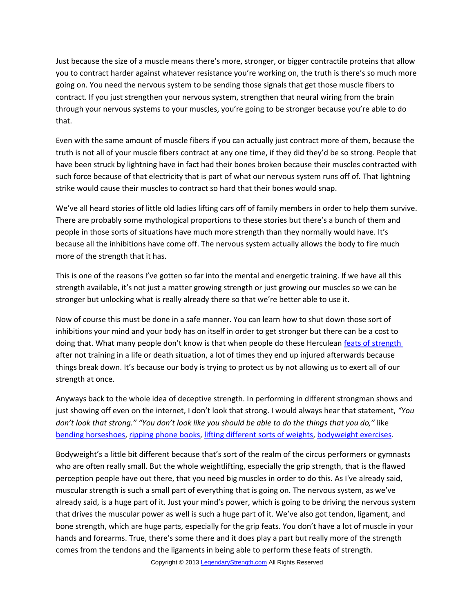Just because the size of a muscle means there's more, stronger, or bigger contractile proteins that allow you to contract harder against whatever resistance you're working on, the truth is there's so much more going on. You need the nervous system to be sending those signals that get those muscle fibers to contract. If you just strengthen your nervous system, strengthen that neural wiring from the brain through your nervous systems to your muscles, you're going to be stronger because you're able to do that.

Even with the same amount of muscle fibers if you can actually just contract more of them, because the truth is not all of your muscle fibers contract at any one time, if they did they'd be so strong. People that have been struck by lightning have in fact had their bones broken because their muscles contracted with such force because of that electricity that is part of what our nervous system runs off of. That lightning strike would cause their muscles to contract so hard that their bones would snap.

We've all heard stories of little old ladies lifting cars off of family members in order to help them survive. There are probably some mythological proportions to these stories but there's a bunch of them and people in those sorts of situations have much more strength than they normally would have. It's because all the inhibitions have come off. The nervous system actually allows the body to fire much more of the strength that it has.

This is one of the reasons I've gotten so far into the mental and energetic training. If we have all this strength available, it's not just a matter growing strength or just growing our muscles so we can be stronger but unlocking what is really already there so that we're better able to use it.

Now of course this must be done in a safe manner. You can learn how to shut down those sort of inhibitions your mind and your body has on itself in order to get stronger but there can be a cost to doing that. What many people don't know is that when people do these Herculean [feats of strength](http://featsofstrength.net/) after not training in a life or death situation, a lot of times they end up injured afterwards because things break down. It's because our body is trying to protect us by not allowing us to exert all of our strength at once.

Anyways back to the whole idea of deceptive strength. In performing in different strongman shows and just showing off even on the internet, I don't look that strong. I would always hear that statement, *"You don't look that strong." "You don't look like you should be able to do the things that you do,"* like [bending horseshoes,](http://www.legendarystrength.com/feats-of-strength/bending-metal/bending-horseshoes/) [ripping phone books,](http://www.legendarystrength.com/feats-of-strength/phonebook-tearing/) [lifting different sorts of weights,](http://www.legendarystrength.com/feats-of-strength/weightlifting/) [bodyweight exercises.](http://legendarystrength.com/articles/bodyweight-training/)

Bodyweight's a little bit different because that's sort of the realm of the circus performers or gymnasts who are often really small. But the whole weightlifting, especially the grip strength, that is the flawed perception people have out there, that you need big muscles in order to do this. As I've already said, muscular strength is such a small part of everything that is going on. The nervous system, as we've already said, is a huge part of it. Just your mind's power, which is going to be driving the nervous system that drives the muscular power as well is such a huge part of it. We've also got tendon, ligament, and bone strength, which are huge parts, especially for the grip feats. You don't have a lot of muscle in your hands and forearms. True, there's some there and it does play a part but really more of the strength comes from the tendons and the ligaments in being able to perform these feats of strength.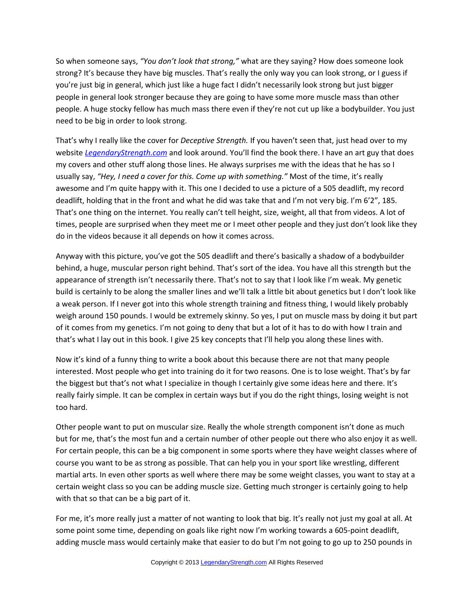So when someone says, *"You don't look that strong,"* what are they saying? How does someone look strong? It's because they have big muscles. That's really the only way you can look strong, or I guess if you're just big in general, which just like a huge fact I didn't necessarily look strong but just bigger people in general look stronger because they are going to have some more muscle mass than other people. A huge stocky fellow has much mass there even if they're not cut up like a bodybuilder. You just need to be big in order to look strong.

That's why I really like the cover for *Deceptive Strength.* If you haven't seen that, just head over to my website *[LegendaryStrength.com](http://LegendaryStrength.com/)* and look around. You'll find the book there. I have an art guy that does my covers and other stuff along those lines. He always surprises me with the ideas that he has so I usually say, *"Hey, I need a cover for this. Come up with something."* Most of the time, it's really awesome and I'm quite happy with it. This one I decided to use a picture of a 505 deadlift, my record deadlift, holding that in the front and what he did was take that and I'm not very big. I'm 6'2", 185. That's one thing on the internet. You really can't tell height, size, weight, all that from videos. A lot of times, people are surprised when they meet me or I meet other people and they just don't look like they do in the videos because it all depends on how it comes across.

Anyway with this picture, you've got the 505 deadlift and there's basically a shadow of a bodybuilder behind, a huge, muscular person right behind. That's sort of the idea. You have all this strength but the appearance of strength isn't necessarily there. That's not to say that I look like I'm weak. My genetic build is certainly to be along the smaller lines and we'll talk a little bit about genetics but I don't look like a weak person. If I never got into this whole strength training and fitness thing, I would likely probably weigh around 150 pounds. I would be extremely skinny. So yes, I put on muscle mass by doing it but part of it comes from my genetics. I'm not going to deny that but a lot of it has to do with how I train and that's what I lay out in this book. I give 25 key concepts that I'll help you along these lines with.

Now it's kind of a funny thing to write a book about this because there are not that many people interested. Most people who get into training do it for two reasons. One is to lose weight. That's by far the biggest but that's not what I specialize in though I certainly give some ideas here and there. It's really fairly simple. It can be complex in certain ways but if you do the right things, losing weight is not too hard.

Other people want to put on muscular size. Really the whole strength component isn't done as much but for me, that's the most fun and a certain number of other people out there who also enjoy it as well. For certain people, this can be a big component in some sports where they have weight classes where of course you want to be as strong as possible. That can help you in your sport like wrestling, different martial arts. In even other sports as well where there may be some weight classes, you want to stay at a certain weight class so you can be adding muscle size. Getting much stronger is certainly going to help with that so that can be a big part of it.

For me, it's more really just a matter of not wanting to look that big. It's really not just my goal at all. At some point some time, depending on goals like right now I'm working towards a 605-point deadlift, adding muscle mass would certainly make that easier to do but I'm not going to go up to 250 pounds in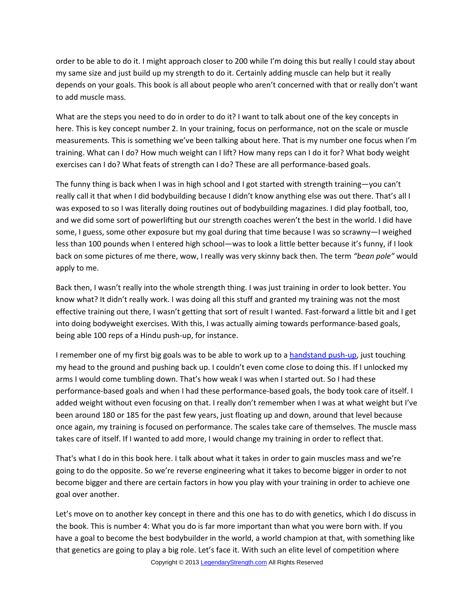order to be able to do it. I might approach closer to 200 while I'm doing this but really I could stay about my same size and just build up my strength to do it. Certainly adding muscle can help but it really depends on your goals. This book is all about people who aren't concerned with that or really don't want to add muscle mass.

What are the steps you need to do in order to do it? I want to talk about one of the key concepts in here. This is key concept number 2. In your training, focus on performance, not on the scale or muscle measurements. This is something we've been talking about here. That is my number one focus when I'm training. What can I do? How much weight can I lift? How many reps can I do it for? What body weight exercises can I do? What feats of strength can I do? These are all performance-based goals.

The funny thing is back when I was in high school and I got started with strength training—you can't really call it that when I did bodybuilding because I didn't know anything else was out there. That's all I was exposed to so I was literally doing routines out of bodybuilding magazines. I did play football, too, and we did some sort of powerlifting but our strength coaches weren't the best in the world. I did have some, I guess, some other exposure but my goal during that time because I was so scrawny—I weighed less than 100 pounds when I entered high school—was to look a little better because it's funny, if I look back on some pictures of me there, wow, I really was very skinny back then. The term *"bean pole"* would apply to me.

Back then, I wasn't really into the whole strength thing. I was just training in order to look better. You know what? It didn't really work. I was doing all this stuff and granted my training was not the most effective training out there, I wasn't getting that sort of result I wanted. Fast-forward a little bit and I get into doing bodyweight exercises. With this, I was actually aiming towards performance-based goals, being able 100 reps of a Hindu push-up, for instance.

I remember one of my first big goals was to be able to work up to a [handstand push-up,](http://legendarystrength.com/ultimate-guide-to-handstand-pushups/) just touching my head to the ground and pushing back up. I couldn't even come close to doing this. If I unlocked my arms I would come tumbling down. That's how weak I was when I started out. So I had these performance-based goals and when I had these performance-based goals, the body took care of itself. I added weight without even focusing on that. I really don't remember when I was at what weight but I've been around 180 or 185 for the past few years, just floating up and down, around that level because once again, my training is focused on performance. The scales take care of themselves. The muscle mass takes care of itself. If I wanted to add more, I would change my training in order to reflect that.

That's what I do in this book here. I talk about what it takes in order to gain muscles mass and we're going to do the opposite. So we're reverse engineering what it takes to become bigger in order to not become bigger and there are certain factors in how you play with your training in order to achieve one goal over another.

Let's move on to another key concept in there and this one has to do with genetics, which I do discuss in the book. This is number 4: What you do is far more important than what you were born with. If you have a goal to become the best bodybuilder in the world, a world champion at that, with something like that genetics are going to play a big role. Let's face it. With such an elite level of competition where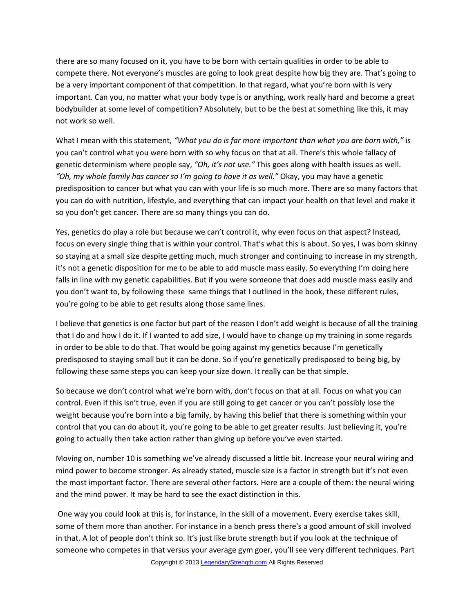there are so many focused on it, you have to be born with certain qualities in order to be able to compete there. Not everyone's muscles are going to look great despite how big they are. That's going to be a very important component of that competition. In that regard, what you're born with is very important. Can you, no matter what your body type is or anything, work really hard and become a great bodybuilder at some level of competition? Absolutely, but to be the best at something like this, it may not work so well.

What I mean with this statement, *"What you do is far more important than what you are born with,"* is you can't control what you were born with so why focus on that at all. There's this whole fallacy of genetic determinism where people say, *"Oh, it's not use."* This goes along with health issues as well. *"Oh, my whole family has cancer so I'm going to have it as well."* Okay, you may have a genetic predisposition to cancer but what you can with your life is so much more. There are so many factors that you can do with nutrition, lifestyle, and everything that can impact your health on that level and make it so you don't get cancer. There are so many things you can do.

Yes, genetics do play a role but because we can't control it, why even focus on that aspect? Instead, focus on every single thing that is within your control. That's what this is about. So yes, I was born skinny so staying at a small size despite getting much, much stronger and continuing to increase in my strength, it's not a genetic disposition for me to be able to add muscle mass easily. So everything I'm doing here falls in line with my genetic capabilities. But if you were someone that does add muscle mass easily and you don't want to, by following these same things that I outlined in the book, these different rules, you're going to be able to get results along those same lines.

I believe that genetics is one factor but part of the reason I don't add weight is because of all the training that I do and how I do it. If I wanted to add size, I would have to change up my training in some regards in order to be able to do that. That would be going against my genetics because I'm genetically predisposed to staying small but it can be done. So if you're genetically predisposed to being big, by following these same steps you can keep your size down. It really can be that simple.

So because we don't control what we're born with, don't focus on that at all. Focus on what you can control. Even if this isn't true, even if you are still going to get cancer or you can't possibly lose the weight because you're born into a big family, by having this belief that there is something within your control that you can do about it, you're going to be able to get greater results. Just believing it, you're going to actually then take action rather than giving up before you've even started.

Moving on, number 10 is something we've already discussed a little bit. Increase your neural wiring and mind power to become stronger. As already stated, muscle size is a factor in strength but it's not even the most important factor. There are several other factors. Here are a couple of them: the neural wiring and the mind power. It may be hard to see the exact distinction in this.

 One way you could look at this is, for instance, in the skill of a movement. Every exercise takes skill, some of them more than another. For instance in a bench press there's a good amount of skill involved in that. A lot of people don't think so. It's just like brute strength but if you look at the technique of someone who competes in that versus your average gym goer, you'll see very different techniques. Part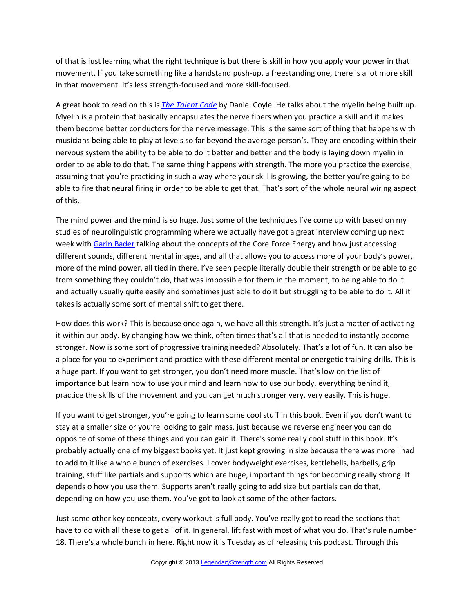of that is just learning what the right technique is but there is skill in how you apply your power in that movement. If you take something like a handstand push-up, a freestanding one, there is a lot more skill in that movement. It's less strength-focused and more skill-focused.

A great book to read on this is *[The Talent Code](http://amzn.to/10IDUPl)* by Daniel Coyle. He talks about the myelin being built up. Myelin is a protein that basically encapsulates the nerve fibers when you practice a skill and it makes them become better conductors for the nerve message. This is the same sort of thing that happens with musicians being able to play at levels so far beyond the average person's. They are encoding within their nervous system the ability to be able to do it better and better and the body is laying down myelin in order to be able to do that. The same thing happens with strength. The more you practice the exercise, assuming that you're practicing in such a way where your skill is growing, the better you're going to be able to fire that neural firing in order to be able to get that. That's sort of the whole neural wiring aspect of this.

The mind power and the mind is so huge. Just some of the techniques I've come up with based on my studies of neurolinguistic programming where we actually have got a great interview coming up next week with [Garin Bader](http://www.coreforceenergy.com/blog/) talking about the concepts of the Core Force Energy and how just accessing different sounds, different mental images, and all that allows you to access more of your body's power, more of the mind power, all tied in there. I've seen people literally double their strength or be able to go from something they couldn't do, that was impossible for them in the moment, to being able to do it and actually usually quite easily and sometimes just able to do it but struggling to be able to do it. All it takes is actually some sort of mental shift to get there.

How does this work? This is because once again, we have all this strength. It's just a matter of activating it within our body. By changing how we think, often times that's all that is needed to instantly become stronger. Now is some sort of progressive training needed? Absolutely. That's a lot of fun. It can also be a place for you to experiment and practice with these different mental or energetic training drills. This is a huge part. If you want to get stronger, you don't need more muscle. That's low on the list of importance but learn how to use your mind and learn how to use our body, everything behind it, practice the skills of the movement and you can get much stronger very, very easily. This is huge.

If you want to get stronger, you're going to learn some cool stuff in this book. Even if you don't want to stay at a smaller size or you're looking to gain mass, just because we reverse engineer you can do opposite of some of these things and you can gain it. There's some really cool stuff in this book. It's probably actually one of my biggest books yet. It just kept growing in size because there was more I had to add to it like a whole bunch of exercises. I cover bodyweight exercises, kettlebells, barbells, grip training, stuff like partials and supports which are huge, important things for becoming really strong. It depends o how you use them. Supports aren't really going to add size but partials can do that, depending on how you use them. You've got to look at some of the other factors.

Just some other key concepts, every workout is full body. You've really got to read the sections that have to do with all these to get all of it. In general, lift fast with most of what you do. That's rule number 18. There's a whole bunch in here. Right now it is Tuesday as of releasing this podcast. Through this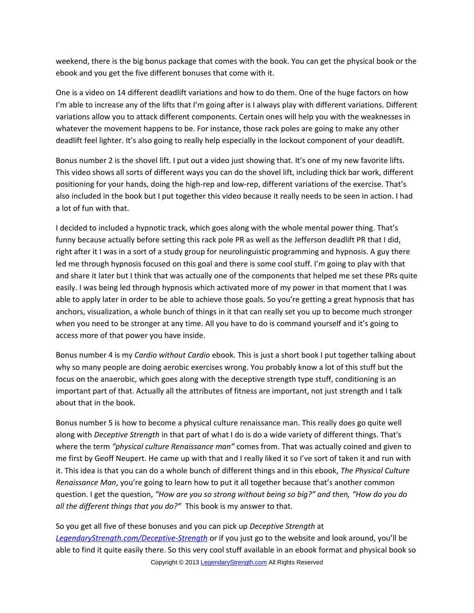weekend, there is the big bonus package that comes with the book. You can get the physical book or the ebook and you get the five different bonuses that come with it.

One is a video on 14 different deadlift variations and how to do them. One of the huge factors on how I'm able to increase any of the lifts that I'm going after is I always play with different variations. Different variations allow you to attack different components. Certain ones will help you with the weaknesses in whatever the movement happens to be. For instance, those rack poles are going to make any other deadlift feel lighter. It's also going to really help especially in the lockout component of your deadlift.

Bonus number 2 is the shovel lift. I put out a video just showing that. It's one of my new favorite lifts. This video shows all sorts of different ways you can do the shovel lift, including thick bar work, different positioning for your hands, doing the high-rep and low-rep, different variations of the exercise. That's also included in the book but I put together this video because it really needs to be seen in action. I had a lot of fun with that.

I decided to included a hypnotic track, which goes along with the whole mental power thing. That's funny because actually before setting this rack pole PR as well as the Jefferson deadlift PR that I did, right after it I was in a sort of a study group for neurolinguistic programming and hypnosis. A guy there led me through hypnosis focused on this goal and there is some cool stuff. I'm going to play with that and share it later but I think that was actually one of the components that helped me set these PRs quite easily. I was being led through hypnosis which activated more of my power in that moment that I was able to apply later in order to be able to achieve those goals. So you're getting a great hypnosis that has anchors, visualization, a whole bunch of things in it that can really set you up to become much stronger when you need to be stronger at any time. All you have to do is command yourself and it's going to access more of that power you have inside.

Bonus number 4 is my *Cardio without Cardio* ebook. This is just a short book I put together talking about why so many people are doing aerobic exercises wrong. You probably know a lot of this stuff but the focus on the anaerobic, which goes along with the deceptive strength type stuff, conditioning is an important part of that. Actually all the attributes of fitness are important, not just strength and I talk about that in the book.

Bonus number 5 is how to become a physical culture renaissance man. This really does go quite well along with *Deceptive Strength* in that part of what I do is do a wide variety of different things. That's where the term *"physical culture Renaissance man"* comes from. That was actually coined and given to me first by Geoff Neupert. He came up with that and I really liked it so I've sort of taken it and run with it. This idea is that you can do a whole bunch of different things and in this ebook, *The Physical Culture Renaissance Man*, you're going to learn how to put it all together because that's another common question. I get the question, *"How are you so strong without being so big?" and then, "How do you do all the different things that you do?"* This book is my answer to that.

So you get all five of these bonuses and you can pick up *Deceptive Strength* at *[LegendaryStrength.com/Deceptive-Strength](http://LegendaryStrength.com/Deceptive-Strength)* or if you just go to the website and look around, you'll be able to find it quite easily there. So this very cool stuff available in an ebook format and physical book so Copyright © 2013 [LegendaryStrength.com](http://www.LegendaryStrength.com/) All Rights Reserved